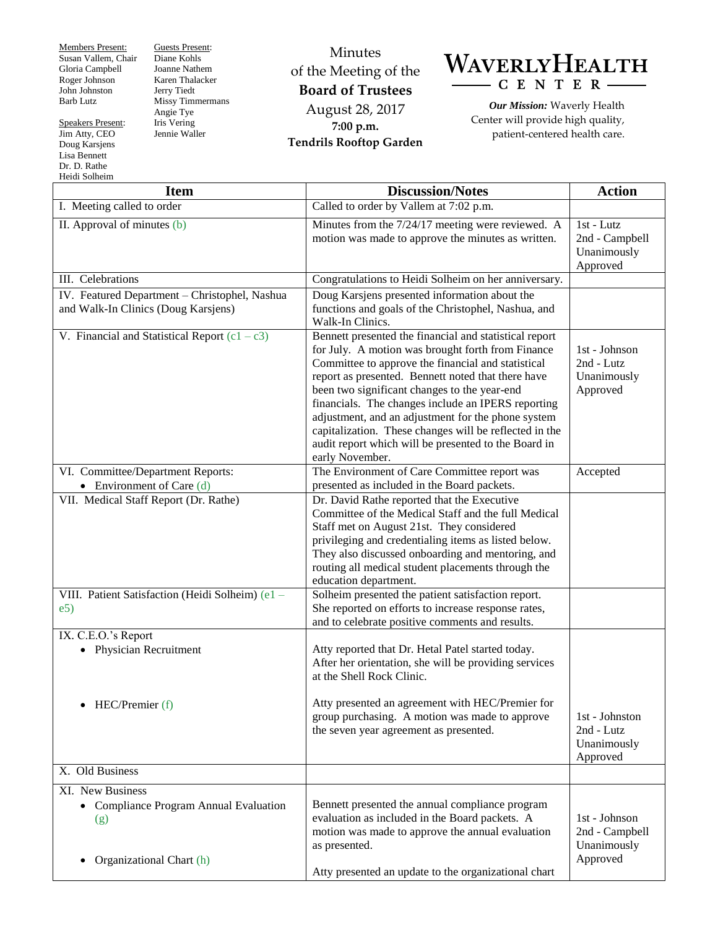Members Present: Susan Vallem, Chair Gloria Campbell Roger Johnson John Johnston Barb Lutz

Speakers Present: Jim Atty, CEO Doug Karsjens Lisa Bennett Dr. D. Rathe Heidi Solheim

Guests Present: Diane Kohls Joanne Nathem Karen Thalacker Jerry Tiedt Missy Timmermans Angie Tye Iris Vering Jennie Waller

Minutes of the Meeting of the **Board of Trustees** August 28, 2017 **7:00 p.m. Tendrils Rooftop Garden**



*Our Mission:* Waverly Health Center will provide high quality, patient-centered health care.

| <b>Item</b>                                                                                                | <b>Discussion/Notes</b>                                                                                                                                                                                                                                                                                                                                                                                                                                                                                                  | <b>Action</b>                                              |
|------------------------------------------------------------------------------------------------------------|--------------------------------------------------------------------------------------------------------------------------------------------------------------------------------------------------------------------------------------------------------------------------------------------------------------------------------------------------------------------------------------------------------------------------------------------------------------------------------------------------------------------------|------------------------------------------------------------|
| I. Meeting called to order                                                                                 | Called to order by Vallem at 7:02 p.m.                                                                                                                                                                                                                                                                                                                                                                                                                                                                                   |                                                            |
| II. Approval of minutes (b)                                                                                | Minutes from the 7/24/17 meeting were reviewed. A<br>motion was made to approve the minutes as written.                                                                                                                                                                                                                                                                                                                                                                                                                  | 1st - Lutz<br>2nd - Campbell<br>Unanimously<br>Approved    |
| III. Celebrations                                                                                          | Congratulations to Heidi Solheim on her anniversary.                                                                                                                                                                                                                                                                                                                                                                                                                                                                     |                                                            |
| IV. Featured Department - Christophel, Nashua<br>and Walk-In Clinics (Doug Karsjens)                       | Doug Karsjens presented information about the<br>functions and goals of the Christophel, Nashua, and<br>Walk-In Clinics.                                                                                                                                                                                                                                                                                                                                                                                                 |                                                            |
| V. Financial and Statistical Report $(c1 - c3)$                                                            | Bennett presented the financial and statistical report<br>for July. A motion was brought forth from Finance<br>Committee to approve the financial and statistical<br>report as presented. Bennett noted that there have<br>been two significant changes to the year-end<br>financials. The changes include an IPERS reporting<br>adjustment, and an adjustment for the phone system<br>capitalization. These changes will be reflected in the<br>audit report which will be presented to the Board in<br>early November. | 1st - Johnson<br>2nd - Lutz<br>Unanimously<br>Approved     |
| VI. Committee/Department Reports:<br>• Environment of Care $(d)$                                           | The Environment of Care Committee report was<br>presented as included in the Board packets.                                                                                                                                                                                                                                                                                                                                                                                                                              | Accepted                                                   |
| VII. Medical Staff Report (Dr. Rathe)                                                                      | Dr. David Rathe reported that the Executive<br>Committee of the Medical Staff and the full Medical<br>Staff met on August 21st. They considered<br>privileging and credentialing items as listed below.<br>They also discussed onboarding and mentoring, and<br>routing all medical student placements through the<br>education department.                                                                                                                                                                              |                                                            |
| VIII. Patient Satisfaction (Heidi Solheim) (e1 -<br>e5)                                                    | Solheim presented the patient satisfaction report.<br>She reported on efforts to increase response rates,<br>and to celebrate positive comments and results.                                                                                                                                                                                                                                                                                                                                                             |                                                            |
| IX. C.E.O.'s Report<br>• Physician Recruitment                                                             | Atty reported that Dr. Hetal Patel started today.<br>After her orientation, she will be providing services<br>at the Shell Rock Clinic.                                                                                                                                                                                                                                                                                                                                                                                  |                                                            |
| $\bullet$ HEC/Premier (f)                                                                                  | Atty presented an agreement with HEC/Premier for<br>group purchasing. A motion was made to approve<br>the seven year agreement as presented.                                                                                                                                                                                                                                                                                                                                                                             | 1st - Johnston<br>2nd - Lutz<br>Unanimously<br>Approved    |
| X. Old Business                                                                                            |                                                                                                                                                                                                                                                                                                                                                                                                                                                                                                                          |                                                            |
| XI. New Business<br>• Compliance Program Annual Evaluation<br>(g)<br>Organizational Chart (h)<br>$\bullet$ | Bennett presented the annual compliance program<br>evaluation as included in the Board packets. A<br>motion was made to approve the annual evaluation<br>as presented.                                                                                                                                                                                                                                                                                                                                                   | 1st - Johnson<br>2nd - Campbell<br>Unanimously<br>Approved |
|                                                                                                            | Atty presented an update to the organizational chart                                                                                                                                                                                                                                                                                                                                                                                                                                                                     |                                                            |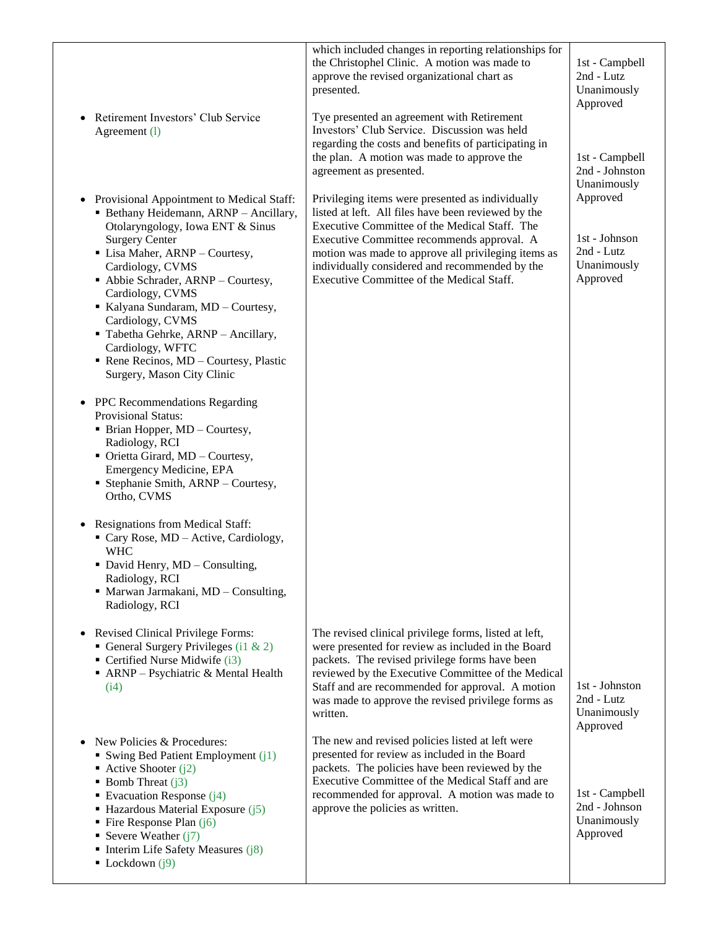| Retirement Investors' Club Service<br>$\bullet$<br>Agreement (1)                                                                                                                                                                                                                                                                                                                                                                                        | which included changes in reporting relationships for<br>the Christophel Clinic. A motion was made to<br>approve the revised organizational chart as<br>presented.<br>Tye presented an agreement with Retirement<br>Investors' Club Service. Discussion was held<br>regarding the costs and benefits of participating in<br>the plan. A motion was made to approve the<br>agreement as presented. | 1st - Campbell<br>2nd - Lutz<br>Unanimously<br>Approved<br>1st - Campbell<br>2nd - Johnston |
|---------------------------------------------------------------------------------------------------------------------------------------------------------------------------------------------------------------------------------------------------------------------------------------------------------------------------------------------------------------------------------------------------------------------------------------------------------|---------------------------------------------------------------------------------------------------------------------------------------------------------------------------------------------------------------------------------------------------------------------------------------------------------------------------------------------------------------------------------------------------|---------------------------------------------------------------------------------------------|
| • Provisional Appointment to Medical Staff:<br>· Bethany Heidemann, ARNP - Ancillary,<br>Otolaryngology, Iowa ENT & Sinus<br><b>Surgery Center</b><br>• Lisa Maher, ARNP - Courtesy,<br>Cardiology, CVMS<br>Abbie Schrader, ARNP - Courtesy,<br>Cardiology, CVMS<br>Kalyana Sundaram, MD - Courtesy,<br>Cardiology, CVMS<br>Tabetha Gehrke, ARNP - Ancillary,<br>Cardiology, WFTC<br>Rene Recinos, MD - Courtesy, Plastic<br>Surgery, Mason City Clinic | Privileging items were presented as individually<br>listed at left. All files have been reviewed by the<br>Executive Committee of the Medical Staff. The<br>Executive Committee recommends approval. A<br>motion was made to approve all privileging items as<br>individually considered and recommended by the<br>Executive Committee of the Medical Staff.                                      | Unanimously<br>Approved<br>1st - Johnson<br>2nd - Lutz<br>Unanimously<br>Approved           |
| PPC Recommendations Regarding<br>$\bullet$<br><b>Provisional Status:</b><br>• Brian Hopper, MD - Courtesy,<br>Radiology, RCI<br>• Orietta Girard, MD - Courtesy,<br>Emergency Medicine, EPA<br>• Stephanie Smith, ARNP - Courtesy,<br>Ortho, CVMS<br>• Resignations from Medical Staff:                                                                                                                                                                 |                                                                                                                                                                                                                                                                                                                                                                                                   |                                                                                             |
| Cary Rose, MD - Active, Cardiology,<br><b>WHC</b><br>David Henry, MD - Consulting,<br>Radiology, RCI<br>• Marwan Jarmakani, MD - Consulting,<br>Radiology, RCI                                                                                                                                                                                                                                                                                          |                                                                                                                                                                                                                                                                                                                                                                                                   |                                                                                             |
| <b>Revised Clinical Privilege Forms:</b><br>$\bullet$<br>General Surgery Privileges (i1 & 2)<br>• Certified Nurse Midwife (i3)<br>• ARNP - Psychiatric & Mental Health<br>(i4)                                                                                                                                                                                                                                                                          | The revised clinical privilege forms, listed at left,<br>were presented for review as included in the Board<br>packets. The revised privilege forms have been<br>reviewed by the Executive Committee of the Medical<br>Staff and are recommended for approval. A motion<br>was made to approve the revised privilege forms as<br>written.                                                         | 1st - Johnston<br>2nd - Lutz<br>Unanimously<br>Approved                                     |
| New Policies & Procedures:<br>$\bullet$<br>Swing Bed Patient Employment $(i)$<br>• Active Shooter $(i2)$<br>■ Bomb Threat $(i3)$<br>Evacuation Response $(j4)$<br>$\blacksquare$ Hazardous Material Exposure (j5)<br>$\blacksquare$ Fire Response Plan (j6)<br>Severe Weather $(i7)$<br>$\blacksquare$ Interim Life Safety Measures (j8)<br>$\blacksquare$ Lockdown (j9)                                                                                | The new and revised policies listed at left were<br>presented for review as included in the Board<br>packets. The policies have been reviewed by the<br>Executive Committee of the Medical Staff and are<br>recommended for approval. A motion was made to<br>approve the policies as written.                                                                                                    | 1st - Campbell<br>2nd - Johnson<br>Unanimously<br>Approved                                  |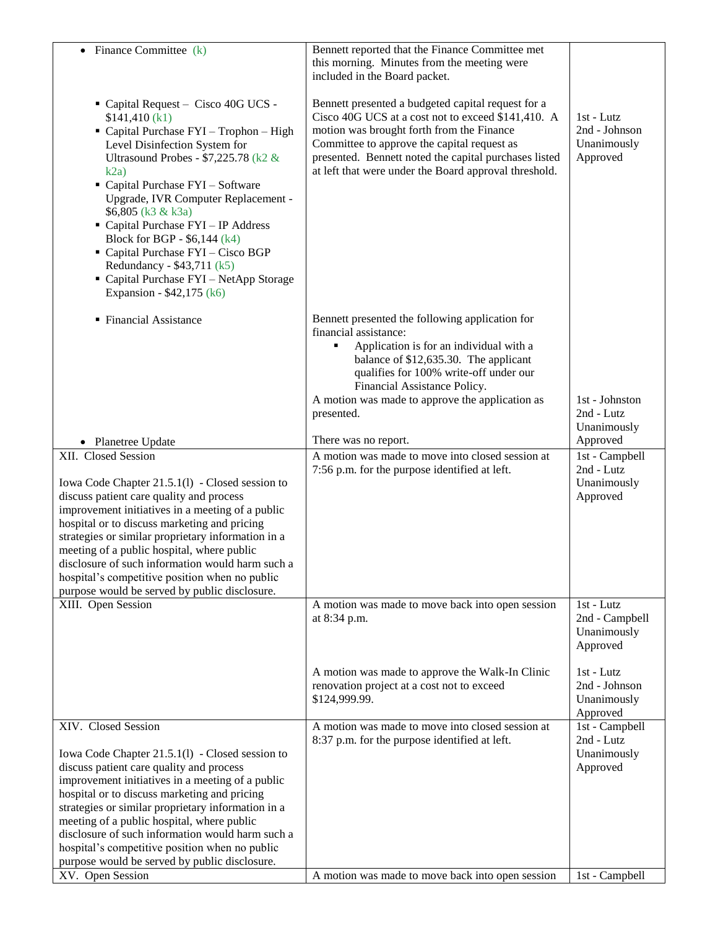| • Finance Committee $(k)$                                                                                                                                                                                                                                                                                                                                                                                                                                                                             | Bennett reported that the Finance Committee met<br>this morning. Minutes from the meeting were<br>included in the Board packet.                                                                                                                                                                                        |                                                                           |
|-------------------------------------------------------------------------------------------------------------------------------------------------------------------------------------------------------------------------------------------------------------------------------------------------------------------------------------------------------------------------------------------------------------------------------------------------------------------------------------------------------|------------------------------------------------------------------------------------------------------------------------------------------------------------------------------------------------------------------------------------------------------------------------------------------------------------------------|---------------------------------------------------------------------------|
| Capital Request - Cisco 40G UCS -<br>\$141,410 (k1)<br>• Capital Purchase FYI - Trophon - High<br>Level Disinfection System for<br>Ultrasound Probes - \$7,225.78 (k2 &<br>k2a)<br>• Capital Purchase FYI - Software<br>Upgrade, IVR Computer Replacement -<br>\$6,805 (k3 & k3a)<br>• Capital Purchase FYI - IP Address<br>Block for BGP - \$6,144 (k4)<br>Capital Purchase FYI - Cisco BGP<br>Redundancy - \$43,711 (k5)<br>" Capital Purchase FYI - NetApp Storage<br>Expansion - \$42,175 (k6)    | Bennett presented a budgeted capital request for a<br>Cisco 40G UCS at a cost not to exceed \$141,410. A<br>motion was brought forth from the Finance<br>Committee to approve the capital request as<br>presented. Bennett noted the capital purchases listed<br>at left that were under the Board approval threshold. | $1st - Lutz$<br>2nd - Johnson<br>Unanimously<br>Approved                  |
| • Financial Assistance                                                                                                                                                                                                                                                                                                                                                                                                                                                                                | Bennett presented the following application for<br>financial assistance:<br>Application is for an individual with a<br>٠<br>balance of \$12,635.30. The applicant<br>qualifies for 100% write-off under our<br>Financial Assistance Policy.<br>A motion was made to approve the application as<br>presented.           | 1st - Johnston<br>2nd - Lutz<br>Unanimously                               |
| • Planetree Update                                                                                                                                                                                                                                                                                                                                                                                                                                                                                    | There was no report.                                                                                                                                                                                                                                                                                                   | Approved                                                                  |
| XII. Closed Session<br>Iowa Code Chapter 21.5.1(1) - Closed session to<br>discuss patient care quality and process<br>improvement initiatives in a meeting of a public<br>hospital or to discuss marketing and pricing<br>strategies or similar proprietary information in a<br>meeting of a public hospital, where public<br>disclosure of such information would harm such a<br>hospital's competitive position when no public<br>purpose would be served by public disclosure.                     | A motion was made to move into closed session at<br>7:56 p.m. for the purpose identified at left.                                                                                                                                                                                                                      | 1st - Campbell<br>2nd - Lutz<br>Unanimously<br>Approved                   |
| XIII. Open Session                                                                                                                                                                                                                                                                                                                                                                                                                                                                                    | A motion was made to move back into open session<br>at 8:34 p.m.                                                                                                                                                                                                                                                       | 1st - Lutz<br>2nd - Campbell<br>Unanimously<br>Approved                   |
|                                                                                                                                                                                                                                                                                                                                                                                                                                                                                                       | A motion was made to approve the Walk-In Clinic<br>renovation project at a cost not to exceed<br>\$124,999.99.                                                                                                                                                                                                         | 1st - Lutz<br>2nd - Johnson<br>Unanimously<br>Approved                    |
| XIV. Closed Session<br>Iowa Code Chapter 21.5.1(1) - Closed session to<br>discuss patient care quality and process<br>improvement initiatives in a meeting of a public<br>hospital or to discuss marketing and pricing<br>strategies or similar proprietary information in a<br>meeting of a public hospital, where public<br>disclosure of such information would harm such a<br>hospital's competitive position when no public<br>purpose would be served by public disclosure.<br>XV. Open Session | A motion was made to move into closed session at<br>8:37 p.m. for the purpose identified at left.<br>A motion was made to move back into open session                                                                                                                                                                  | 1st - Campbell<br>2nd - Lutz<br>Unanimously<br>Approved<br>1st - Campbell |